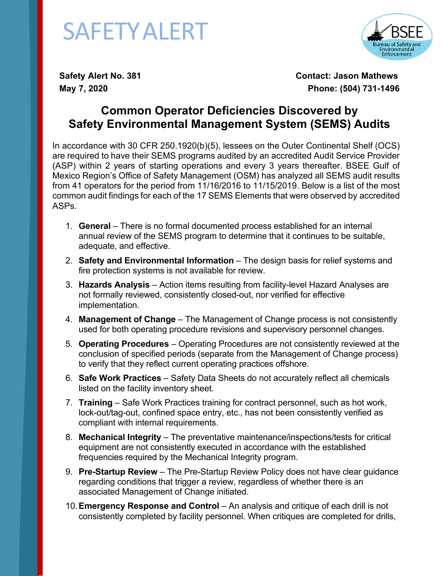## SAFETYALERT



**Safety Alert No. 381 Contact: Jason Mathews May 7, 2020 Phone: (504) 731-1496**

## **Common Operator Deficiencies Discovered by Safety Environmental Management System (SEMS) Audits**

In accordance with 30 CFR 250.1920(b)(5), lessees on the Outer Continental Shelf (OCS) are required to have their SEMS programs audited by an accredited Audit Service Provider (ASP) within 2 years of starting operations and every 3 years thereafter. BSEE Gulf of Mexico Region's Office of Safety Management (OSM) has analyzed all SEMS audit results from 41 operators for the period from 11/16/2016 to 11/15/2019. Below is a list of the most common audit findings for each of the 17 SEMS Elements that were observed by accredited ASPs.

- 1. **General** There is no formal documented process established for an internal annual review of the SEMS program to determine that it continues to be suitable, adequate, and effective.
- 2. **Safety and Environmental Information** The design basis for relief systems and fire protection systems is not available for review.
- 3. **Hazards Analysis** Action items resulting from facility-level Hazard Analyses are not formally reviewed, consistently closed-out, nor verified for effective implementation.
- 4. **Management of Change** The Management of Change process is not consistently used for both operating procedure revisions and supervisory personnel changes.
- 5. **Operating Procedures** Operating Procedures are not consistently reviewed at the conclusion of specified periods (separate from the Management of Change process) to verify that they reflect current operating practices offshore.
- 6. **Safe Work Practices** Safety Data Sheets do not accurately reflect all chemicals listed on the facility inventory sheet.
- 7. **Training** Safe Work Practices training for contract personnel, such as hot work, lock-out/tag-out, confined space entry, etc., has not been consistently verified as compliant with internal requirements.
- 8. **Mechanical Integrity** The preventative maintenance/inspections/tests for critical equipment are not consistently executed in accordance with the established frequencies required by the Mechanical Integrity program.
- 9. **Pre-Startup Review** The Pre-Startup Review Policy does not have clear guidance regarding conditions that trigger a review, regardless of whether there is an associated Management of Change initiated.
- 10.**Emergency Response and Control** An analysis and critique of each drill is not consistently completed by facility personnel. When critiques are completed for drills,